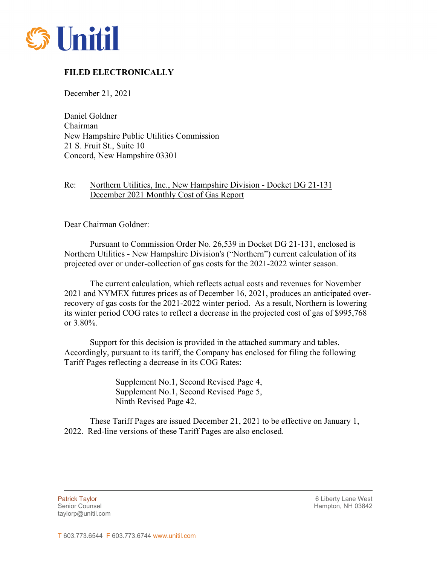

## **FILED ELECTRONICALLY**

December 21, 2021

Daniel Goldner Chairman New Hampshire Public Utilities Commission 21 S. Fruit St., Suite 10 Concord, New Hampshire 03301

## Re: Northern Utilities, Inc., New Hampshire Division - Docket DG 21-131 December 2021 Monthly Cost of Gas Report

Dear Chairman Goldner:

Pursuant to Commission Order No. 26,539 in Docket DG 21-131, enclosed is Northern Utilities - New Hampshire Division's ("Northern") current calculation of its projected over or under-collection of gas costs for the 2021-2022 winter season.

The current calculation, which reflects actual costs and revenues for November 2021 and NYMEX futures prices as of December 16, 2021, produces an anticipated overrecovery of gas costs for the 2021-2022 winter period. As a result, Northern is lowering its winter period COG rates to reflect a decrease in the projected cost of gas of \$995,768 or 3.80%.

Support for this decision is provided in the attached summary and tables. Accordingly, pursuant to its tariff, the Company has enclosed for filing the following Tariff Pages reflecting a decrease in its COG Rates:

> Supplement No.1, Second Revised Page 4, Supplement No.1, Second Revised Page 5, Ninth Revised Page 42.

These Tariff Pages are issued December 21, 2021 to be effective on January 1, 2022. Red-line versions of these Tariff Pages are also enclosed.

taylorp@unitil.com

Patrick Taylor 6 Liberty Lane West Senior Counsel New York 1988 and the Senior Counsel Hampton, NH 03842